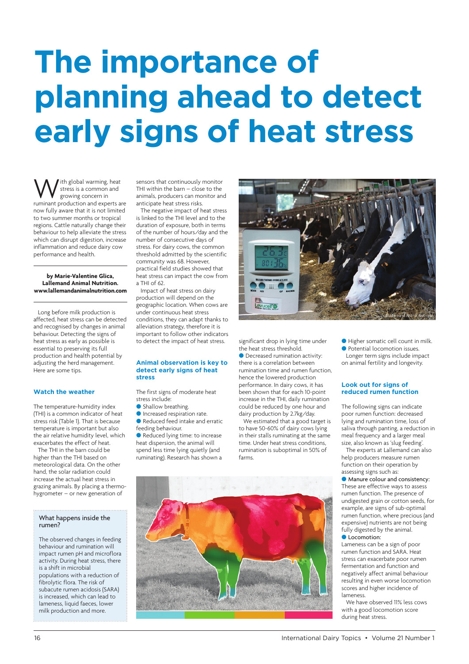# **The importance of planning ahead to detect early signs of heat stress**

With global warming, heat<br>growing concern in<br>ruminant production and experts are stress is a common and growing concern in now fully aware that it is not limited to two summer months or tropical regions. Cattle naturally change their behaviour to help alleviate the stress which can disrupt digestion, increase inflammation and reduce dairy cow performance and health.

## **by Marie-Valentine Glica, Lallemand Animal Nutrition. www.lallemandanimalnutrition.com**

Long before milk production is affected, heat stress can be detected [and recognised by changes in animal](http://www.lallemandanimalnutrition.com) behaviour. Detecting the signs of heat stress as early as possible is essential to preserving its full production and health potential by adjusting the herd management. Here are some tips.

## **Watch the weather**

The temperature-humidity index (THI) is a common indicator of heat stress risk (Table 1). That is because temperature is important but also the air relative humidity level, which exacerbates the effect of heat.

The THI in the barn could be higher than the THI based on meteorological data. On the other hand, the solar radiation could increase the actual heat stress in grazing animals. By placing a thermohygrometer – or new generation of

## What happens inside the rumen?

The observed changes in feeding behaviour and rumination will impact rumen pH and microflora activity. During heat stress, there is a shift in microbial populations with a reduction of fibrolytic flora. The risk of subacute rumen acidosis (SARA) is increased, which can lead to lameness, liquid faeces, lower milk production and more.

sensors that continuously monitor THI within the barn – close to the animals, producers can monitor and anticipate heat stress risks.

The negative impact of heat stress is linked to the THI level and to the duration of exposure, both in terms of the number of hours/day and the number of consecutive days of stress. For dairy cows, the common threshold admitted by the scientific community was 68. However, practical field studies showed that heat stress can impact the cow from a THI of 62.

Impact of heat stress on dairy production will depend on the geographic location. When cows are under continuous heat stress conditions, they can adapt thanks to alleviation strategy, therefore it is important to follow other indicators to detect the impact of heat stress.

#### **Animal observation is key to detect early signs of heat stress**

The first signs of moderate heat stress include:

- **C** Shallow breathing.
- **Increased respiration rate.**

Reduced feed intake and erratic feeding behaviour.

Reduced lying time: to increase heat dispersion, the animal will spend less time lying quietly (and ruminating). Research has shown a significant drop in lying time under the heat stress threshold.

**O** Decreased rumination activity: there is a correlation between rumination time and rumen function, hence the lowered production performance. In dairy cows, it has been shown that for each 10-point increase in the THI, daily rumination could be reduced by one hour and dairy production by 2.7kg/day.

We estimated that a good target is to have 50-60% of dairy cows lying in their stalls ruminating at the same time. Under heat stress conditions, rumination is suboptimal in 50% of farms.





Higher somatic cell count in milk.

**• Potential locomotion issues.** Longer term signs include impact on animal fertility and longevity.

## **Look out for signs of reduced rumen function**

The following signs can indicate poor rumen function: decreased lying and rumination time, loss of saliva through panting, a reduction in meal frequency and a larger meal size, also known as 'slug feeding'.

The experts at Lallemand can also help producers measure rumen function on their operation by assessing signs such as:

**Manure colour and consistency:** These are effective ways to assess rumen function. The presence of undigested grain or cotton seeds, for example, are signs of sub-optimal rumen function, where precious (and expensive) nutrients are not being fully digested by the animal. **C** Locomotion:

Lameness can be a sign of poor rumen function and SARA. Heat stress can exacerbate poor rumen fermentation and function and negatively affect animal behaviour resulting in even worse locomotion scores and higher incidence of lameness.

We have observed 11% less cows with a good locomotion score during heat stress.